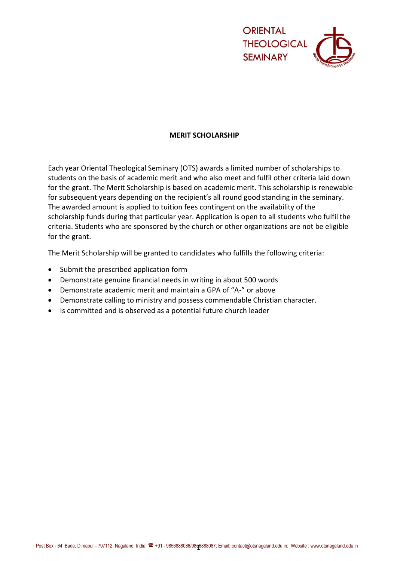

## **MERIT SCHOLARSHIP**

Each year Oriental Theological Seminary (OTS) awards a limited number of scholarships to students on the basis of academic merit and who also meet and fulfil other criteria laid down for the grant. The Merit Scholarship is based on academic merit. This scholarship is renewable for subsequent years depending on the recipient's all round good standing in the seminary. The awarded amount is applied to tuition fees contingent on the availability of the scholarship funds during that particular year. Application is open to all students who fulfil the criteria. Students who are sponsored by the church or other organizations are not be eligible for the grant.

The Merit Scholarship will be granted to candidates who fulfills the following criteria:

- Submit the prescribed application form
- Demonstrate genuine financial needs in writing in about 500 words
- Demonstrate academic merit and maintain a GPA of "A-" or above
- Demonstrate calling to ministry and possess commendable Christian character.
- Is committed and is observed as a potential future church leader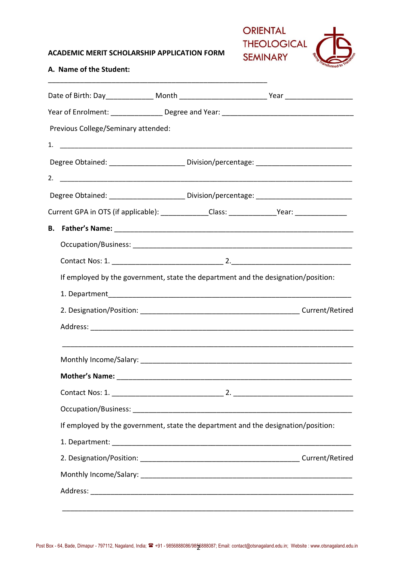### **ACADEMIC MERIT SCHOLARSHIP APPLICATION FORM**

\_\_\_\_\_\_\_\_\_\_\_\_\_\_\_\_\_\_\_\_\_\_\_\_\_\_\_\_\_\_\_\_\_\_\_\_\_\_\_\_\_\_\_\_\_\_\_\_\_\_\_\_\_\_\_



# **A. Name of the Student:**

|  | Previous College/Seminary attended:                                                                 |  |  |  |  |
|--|-----------------------------------------------------------------------------------------------------|--|--|--|--|
|  |                                                                                                     |  |  |  |  |
|  | Degree Obtained: _______________________ Division/percentage: ___________________                   |  |  |  |  |
|  |                                                                                                     |  |  |  |  |
|  |                                                                                                     |  |  |  |  |
|  | Current GPA in OTS (if applicable): ______________Class: ________________Year: ____________________ |  |  |  |  |
|  |                                                                                                     |  |  |  |  |
|  |                                                                                                     |  |  |  |  |
|  |                                                                                                     |  |  |  |  |
|  | If employed by the government, state the department and the designation/position:                   |  |  |  |  |
|  |                                                                                                     |  |  |  |  |
|  |                                                                                                     |  |  |  |  |
|  |                                                                                                     |  |  |  |  |
|  |                                                                                                     |  |  |  |  |
|  |                                                                                                     |  |  |  |  |
|  |                                                                                                     |  |  |  |  |
|  |                                                                                                     |  |  |  |  |
|  | If employed by the government, state the department and the designation/position:                   |  |  |  |  |
|  |                                                                                                     |  |  |  |  |
|  |                                                                                                     |  |  |  |  |
|  |                                                                                                     |  |  |  |  |
|  |                                                                                                     |  |  |  |  |
|  |                                                                                                     |  |  |  |  |